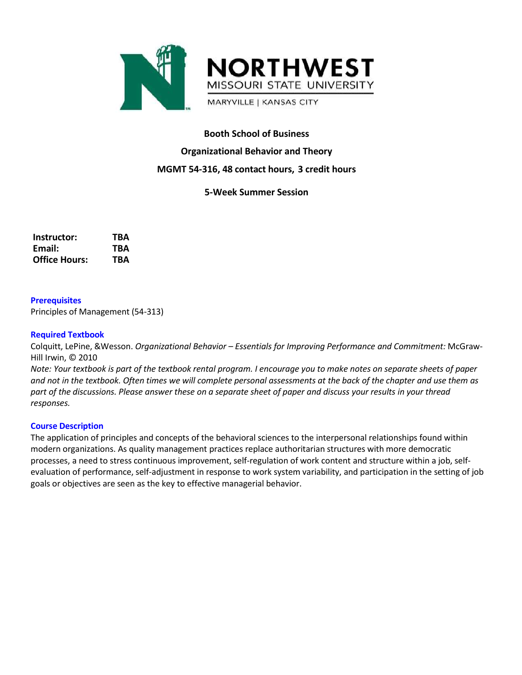

# **Booth School of Business Organizational Behavior and Theory MGMT 54-316, 48 contact hours, 3 credit hours**

## **5-Week Summer Session**

| Instructor:          | TBA |
|----------------------|-----|
| Email:               | TBA |
| <b>Office Hours:</b> | TBA |

## **Prerequisites**

Principles of Management (54-313)

#### **Required Textbook**

Colquitt, LePine, &Wesson. *Organizational Behavior – Essentials for Improving Performance and Commitment:* McGraw-Hill Irwin, © 2010

Note: Your textbook is part of the textbook rental program. I encourage you to make notes on separate sheets of paper and not in the textbook. Often times we will complete personal assessments at the back of the chapter and use them as part of the discussions. Please answer these on a separate sheet of paper and discuss your results in your thread *responses.*

#### **Course Description**

The application of principles and concepts of the behavioral sciences to the interpersonal relationships found within modern organizations. As quality management practices replace authoritarian structures with more democratic processes, a need to stress continuous improvement, self-regulation of work content and structure within a job, selfevaluation of performance, self-adjustment in response to work system variability, and participation in the setting of job goals or objectives are seen as the key to effective managerial behavior.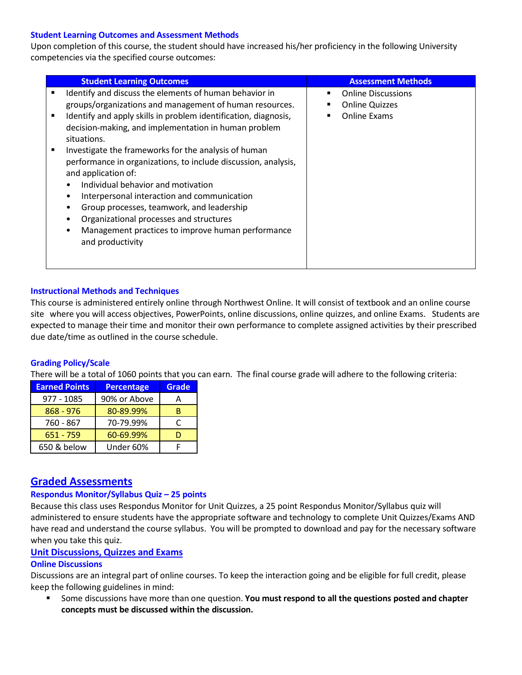#### **Student Learning Outcomes and Assessment Methods**

Upon completion of this course, the student should have increased his/her proficiency in the following University competencies via the specified course outcomes:

|   | <b>Student Learning Outcomes</b>                                | <b>Assessment Methods</b> |
|---|-----------------------------------------------------------------|---------------------------|
| ٠ | Identify and discuss the elements of human behavior in          | <b>Online Discussions</b> |
|   | groups/organizations and management of human resources.         | <b>Online Quizzes</b>     |
| ٠ | Identify and apply skills in problem identification, diagnosis, | Online Exams              |
|   | decision-making, and implementation in human problem            |                           |
|   | situations.                                                     |                           |
|   | Investigate the frameworks for the analysis of human            |                           |
|   | performance in organizations, to include discussion, analysis,  |                           |
|   | and application of:                                             |                           |
|   | Individual behavior and motivation                              |                           |
|   | Interpersonal interaction and communication                     |                           |
|   | Group processes, teamwork, and leadership                       |                           |
|   | Organizational processes and structures                         |                           |
|   | Management practices to improve human performance               |                           |
|   | and productivity                                                |                           |
|   |                                                                 |                           |
|   |                                                                 |                           |

## **Instructional Methods and Techniques**

This course is administered entirely online through Northwest Online. It will consist of textbook and an online course site where you will access objectives, PowerPoints, online discussions, online quizzes, and online Exams. Students are expected to manage their time and monitor their own performance to complete assigned activities by their prescribed due date/time as outlined in the course schedule.

#### **Grading Policy/Scale**

There will be a total of 1060 points that you can earn. The final course grade will adhere to the following criteria:

| <b>Earned Points</b> | <b>Percentage</b> | <b>Grade</b> |
|----------------------|-------------------|--------------|
| 977 - 1085           | 90% or Above      |              |
| $868 - 976$          | 80-89.99%         | в            |
| 760 - 867            | 70-79.99%         |              |
| $651 - 759$          | 60-69.99%         |              |
| 650 & below          | Under 60%         |              |

# **Graded Assessments**

#### **Respondus Monitor/Syllabus Quiz – 25 points**

Because this class uses Respondus Monitor for Unit Quizzes, a 25 point Respondus Monitor/Syllabus quiz will administered to ensure students have the appropriate software and technology to complete Unit Quizzes/Exams AND have read and understand the course syllabus. You will be prompted to download and pay for the necessary software when you take this quiz.

#### **Unit Discussions, Quizzes and Exams**

#### **Online Discussions**

Discussions are an integral part of online courses. To keep the interaction going and be eligible for full credit, please keep the following guidelines in mind:

 Some discussions have more than one question. **You must respond to all the questions posted and chapter concepts must be discussed within the discussion.**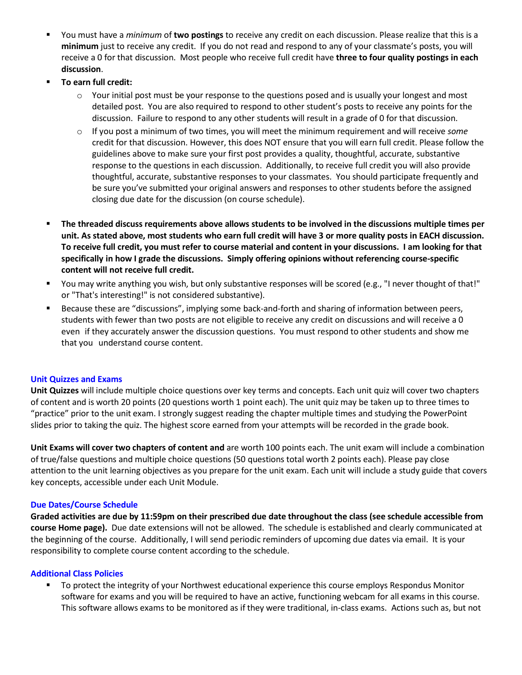- You must have a *minimum* of **two postings** to receive any credit on each discussion. Please realize that this is a **minimum** just to receive any credit. If you do not read and respond to any of your classmate's posts, you will receive a 0 for that discussion. Most people who receive full credit have **three to four quality postings in each discussion**.
- **To earn full credit:**
	- $\circ$  Your initial post must be your response to the questions posed and is usually your longest and most detailed post. You are also required to respond to other student's posts to receive any points for the discussion. Failure to respond to any other students will result in a grade of 0 for that discussion.
	- o If you post a minimum of two times, you will meet the minimum requirement and will receive *some* credit for that discussion. However, this does NOT ensure that you will earn full credit. Please follow the guidelines above to make sure your first post provides a quality, thoughtful, accurate, substantive response to the questions in each discussion. Additionally, to receive full credit you will also provide thoughtful, accurate, substantive responses to your classmates. You should participate frequently and be sure you've submitted your original answers and responses to other students before the assigned closing due date for the discussion (on course schedule).
- **The threaded discuss requirements above allows students to be involved in the discussions multiple times per unit. As stated above, most students who earn full credit will have 3 or more quality posts in EACH discussion.** To receive full credit, you must refer to course material and content in your discussions. I am looking for that **specifically in how I grade the discussions. Simply offering opinions without referencing course-specific content will not receive full credit.**
- You may write anything you wish, but only substantive responses will be scored (e.g., "I never thought of that!" or "That's interesting!" is not considered substantive).
- **Because these are "discussions", implying some back-and-forth and sharing of information between peers,** students with fewer than two posts are not eligible to receive any credit on discussions and will receive a 0 even if they accurately answer the discussion questions. You must respond to other students and show me that you understand course content.

#### **Unit Quizzes and Exams**

**Unit Quizzes** will include multiple choice questions over key terms and concepts. Each unit quiz will cover two chapters of content and is worth 20 points (20 questions worth 1 point each). The unit quiz may be taken up to three times to "practice" prior to the unit exam. I strongly suggest reading the chapter multiple times and studying the PowerPoint slides prior to taking the quiz. The highest score earned from your attempts will be recorded in the grade book.

**Unit Exams will cover two chapters of content and** are worth 100 points each. The unit exam will include a combination of true/false questions and multiple choice questions (50 questions total worth 2 points each). Please pay close attention to the unit learning objectives as you prepare for the unit exam. Each unit will include a study guide that covers key concepts, accessible under each Unit Module.

#### **Due Dates/Course Schedule**

**Graded activities are due by 11:59pm on their prescribed due date throughout the class (see schedule accessible from course Home page).** Due date extensions will not be allowed. The schedule is established and clearly communicated at the beginning of the course. Additionally, I will send periodic reminders of upcoming due dates via email. It is your responsibility to complete course content according to the schedule.

#### **Additional Class Policies**

 To protect the integrity of your Northwest educational experience this course employs Respondus Monitor software for exams and you will be required to have an active, functioning webcam for all exams in this course. This software allows exams to be monitored as if they were traditional, in-class exams. Actions such as, but not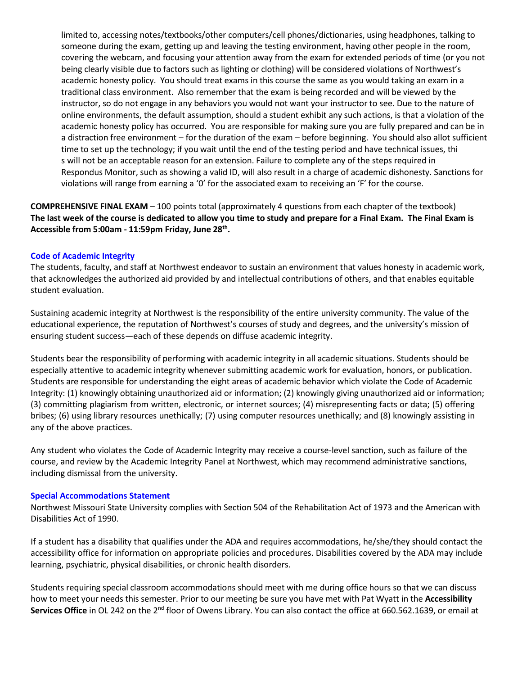limited to, accessing notes/textbooks/other computers/cell phones/dictionaries, using headphones, talking to someone during the exam, getting up and leaving the testing environment, having other people in the room, covering the webcam, and focusing your attention away from the exam for extended periods of time (or you not being clearly visible due to factors such as lighting or clothing) will be considered violations of Northwest's academic honesty policy. You should treat exams in this course the same as you would taking an exam in a traditional class environment. Also remember that the exam is being recorded and will be viewed by the instructor, so do not engage in any behaviors you would not want your instructor to see. Due to the nature of online environments, the default assumption, should a student exhibit any such actions, is that a violation of the academic honesty policy has occurred. You are responsible for making sure you are fully prepared and can be in a distraction free environment – for the duration of the exam – before beginning. You should also allot sufficient time to set up the technology; if you wait until the end of the testing period and have technical issues, thi s will not be an acceptable reason for an extension. Failure to complete any of the steps required in Respondus Monitor, such as showing a valid ID, will also result in a charge of academic dishonesty. Sanctions for violations will range from earning a '0' for the associated exam to receiving an 'F' for the course.

**COMPREHENSIVE FINAL EXAM** – 100 points total (approximately 4 questions from each chapter of the textbook) The last week of the course is dedicated to allow you time to study and prepare for a Final Exam. The Final Exam is **Accessible from 5:00am - 11:59pm Friday, June 28th .**

#### **Code of Academic Integrity**

The students, faculty, and staff at Northwest endeavor to sustain an environment that values honesty in academic work, that acknowledges the authorized aid provided by and intellectual contributions of others, and that enables equitable student evaluation.

Sustaining academic integrity at Northwest is the responsibility of the entire university community. The value of the educational experience, the reputation of Northwest's courses of study and degrees, and the university's mission of ensuring student success—each of these depends on diffuse academic integrity.

Students bear the responsibility of performing with academic integrity in all academic situations. Students should be especially attentive to academic integrity whenever submitting academic work for evaluation, honors, or publication. Students are responsible for understanding the eight areas of academic behavior which violate the Code of Academic Integrity: (1) knowingly obtaining unauthorized aid or information; (2) knowingly giving unauthorized aid or information; (3) committing plagiarism from written, electronic, or internet sources; (4) misrepresenting facts or data; (5) offering bribes; (6) using library resources unethically; (7) using computer resources unethically; and (8) knowingly assisting in any of the above practices.

Any student who violates the Code of Academic Integrity may receive a course-level sanction, such as failure of the course, and review by the Academic Integrity Panel at Northwest, which may recommend administrative sanctions, including dismissal from the university.

#### **Special Accommodations Statement**

Northwest Missouri State University complies with Section 504 of the Rehabilitation Act of 1973 and the American with Disabilities Act of 1990.

If a student has a disability that qualifies under the ADA and requires accommodations, he/she/they should contact the accessibility office for information on appropriate policies and procedures. Disabilities covered by the ADA may include learning, psychiatric, physical disabilities, or chronic health disorders.

Students requiring special classroom accommodations should meet with me during office hours so that we can discuss how to meet your needs this semester. Prior to our meeting be sure you have met with Pat Wyatt in the **Accessibility** Services Office in OL 242 on the 2<sup>nd</sup> floor of Owens Library. You can also contact the office at 660.562.1639, or email at